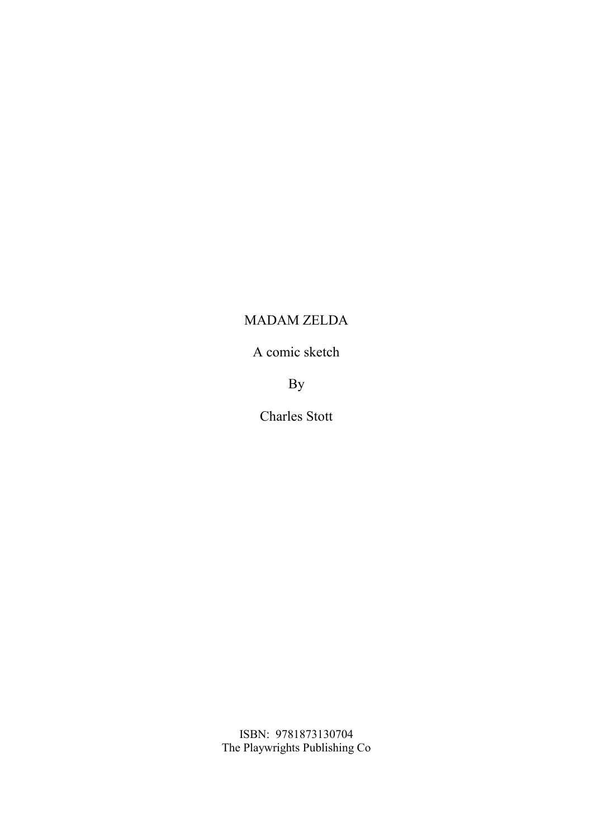## MADAM ZELDA

A comic sketch

By

Charles Stott

ISBN: 9781873130704 The Playwrights Publishing Co.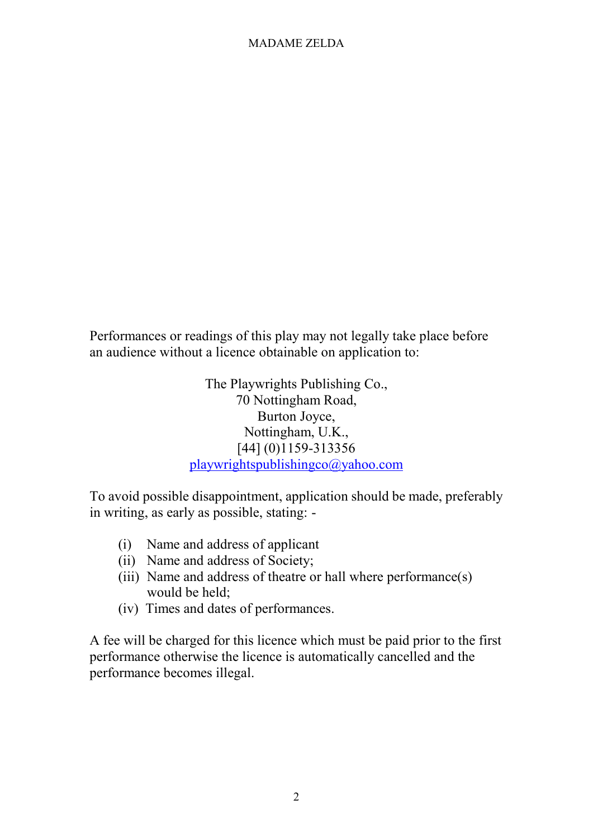## MADAME ZELDA

Performances or readings of this play may not legally take place before an audience without a licence obtainable on application to:

> The Playwrights Publishing Co., 70 Nottingham Road, Burton Joyce, Nottingham, U.K., [44] (0)1159-313356 playwrightspublishingco@yahoo.com

To avoid possible disappointment, application should be made, preferably in writing, as early as possible, stating: -

- (i) Name and address of applicant
- (ii) Name and address of Society;
- (iii) Name and address of theatre or hall where performance(s) would be held;
- (iv) Times and dates of performances.

A fee will be charged for this licence which must be paid prior to the first performance otherwise the licence is automatically cancelled and the performance becomes illegal.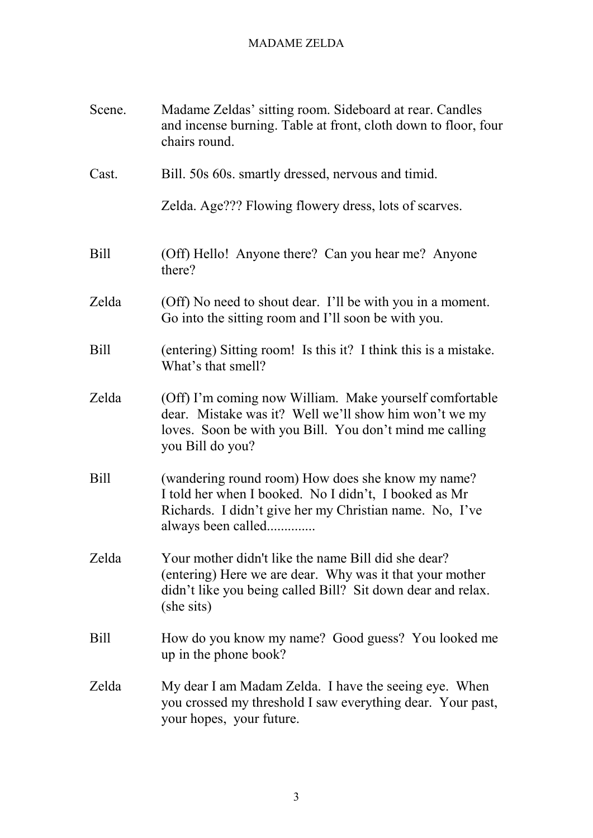## MADAME ZELDA

| Scene.      | Madame Zeldas' sitting room. Sideboard at rear. Candles<br>and incense burning. Table at front, cloth down to floor, four<br>chairs round.                                                      |
|-------------|-------------------------------------------------------------------------------------------------------------------------------------------------------------------------------------------------|
| Cast.       | Bill. 50s 60s. smartly dressed, nervous and timid.                                                                                                                                              |
|             | Zelda. Age??? Flowing flowery dress, lots of scarves.                                                                                                                                           |
| <b>Bill</b> | (Off) Hello! Anyone there? Can you hear me? Anyone<br>there?                                                                                                                                    |
| Zelda       | (Off) No need to shout dear. I'll be with you in a moment.<br>Go into the sitting room and I'll soon be with you.                                                                               |
| <b>Bill</b> | (entering) Sitting room! Is this it? I think this is a mistake.<br>What's that smell?                                                                                                           |
| Zelda       | (Off) I'm coming now William. Make yourself comfortable<br>dear. Mistake was it? Well we'll show him won't we my<br>loves. Soon be with you Bill. You don't mind me calling<br>you Bill do you? |
| Bill        | (wandering round room) How does she know my name?<br>I told her when I booked. No I didn't, I booked as Mr<br>Richards. I didn't give her my Christian name. No, I've<br>always been called     |
| Zelda       | Your mother didn't like the name Bill did she dear?<br>(entering) Here we are dear. Why was it that your mother<br>didn't like you being called Bill? Sit down dear and relax.<br>(she sits)    |
| <b>Bill</b> | How do you know my name? Good guess? You looked me<br>up in the phone book?                                                                                                                     |
| Zelda       | My dear I am Madam Zelda. I have the seeing eye. When<br>you crossed my threshold I saw everything dear. Your past,<br>your hopes, your future.                                                 |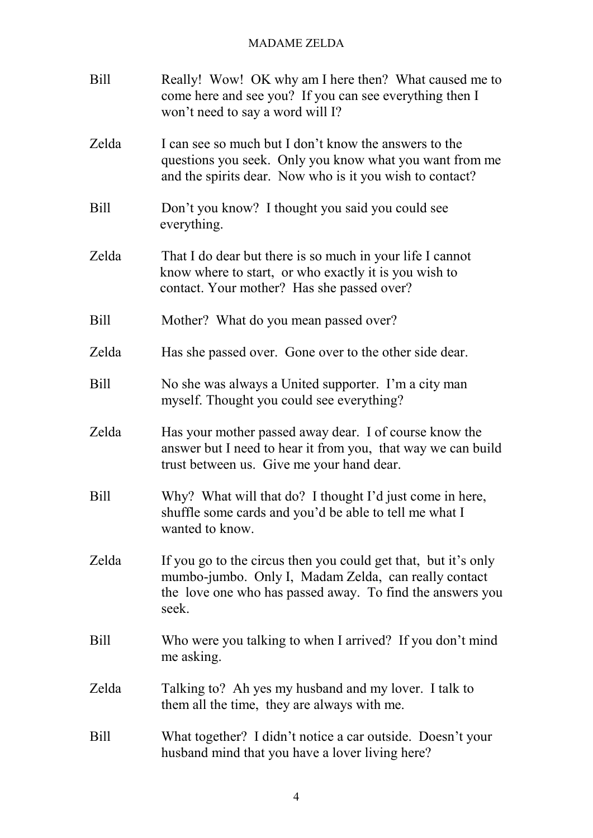## MADAME ZELDA

| <b>Bill</b> | Really! Wow! OK why am I here then? What caused me to<br>come here and see you? If you can see everything then I<br>won't need to say a word will I?                                         |
|-------------|----------------------------------------------------------------------------------------------------------------------------------------------------------------------------------------------|
| Zelda       | I can see so much but I don't know the answers to the<br>questions you seek. Only you know what you want from me<br>and the spirits dear. Now who is it you wish to contact?                 |
| Bill        | Don't you know? I thought you said you could see<br>everything.                                                                                                                              |
| Zelda       | That I do dear but there is so much in your life I cannot<br>know where to start, or who exactly it is you wish to<br>contact. Your mother? Has she passed over?                             |
| <b>Bill</b> | Mother? What do you mean passed over?                                                                                                                                                        |
| Zelda       | Has she passed over. Gone over to the other side dear.                                                                                                                                       |
| <b>Bill</b> | No she was always a United supporter. I'm a city man<br>myself. Thought you could see everything?                                                                                            |
| Zelda       | Has your mother passed away dear. I of course know the<br>answer but I need to hear it from you, that way we can build<br>trust between us. Give me your hand dear.                          |
| <b>Bill</b> | Why? What will that do? I thought I'd just come in here,<br>shuffle some cards and you'd be able to tell me what I<br>wanted to know.                                                        |
| Zelda       | If you go to the circus then you could get that, but it's only<br>mumbo-jumbo. Only I, Madam Zelda, can really contact<br>the love one who has passed away. To find the answers you<br>seek. |
| <b>Bill</b> | Who were you talking to when I arrived? If you don't mind<br>me asking.                                                                                                                      |
| Zelda       | Talking to? Ah yes my husband and my lover. I talk to<br>them all the time, they are always with me.                                                                                         |
| <b>Bill</b> | What together? I didn't notice a car outside. Doesn't your<br>husband mind that you have a lover living here?                                                                                |